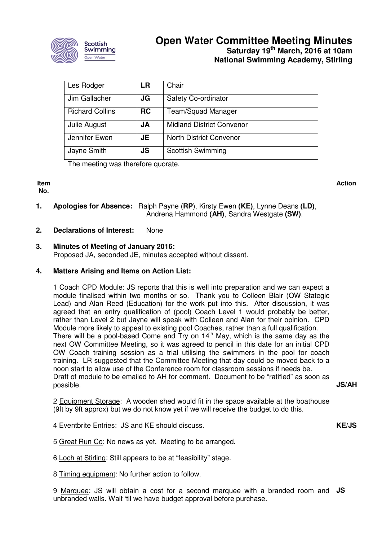

# **Open Water Committee Meeting Minutes Saturday 19th March, 2016 at 10am National Swimming Academy, Stirling**

| Les Rodger             | <b>LR</b> | Chair                            |
|------------------------|-----------|----------------------------------|
| Jim Gallacher          | JG        | Safety Co-ordinator              |
| <b>Richard Collins</b> | <b>RC</b> | Team/Squad Manager               |
| Julie August           | JA        | <b>Midland District Convenor</b> |
| Jennifer Ewen          | JE        | <b>North District Convenor</b>   |
| Jayne Smith            | JS        | <b>Scottish Swimming</b>         |

The meeting was therefore quorate.

**Item No.** 

**Action**

- **1. Apologies for Absence:** Ralph Payne (**RP**), Kirsty Ewen **(KE)**, Lynne Deans **(LD)**, Andrena Hammond **(AH)**, Sandra Westgate **(SW)**.
- **2. Declarations of Interest:** None

## **3. Minutes of Meeting of January 2016:** Proposed JA, seconded JE, minutes accepted without dissent.

#### **4. Matters Arising and Items on Action List:**

1 Coach CPD Module: JS reports that this is well into preparation and we can expect a module finalised within two months or so. Thank you to Colleen Blair (OW Stategic Lead) and Alan Reed (Education) for the work put into this. After discussion, it was agreed that an entry qualification of (pool) Coach Level 1 would probably be better, rather than Level 2 but Jayne will speak with Colleen and Alan for their opinion. CPD Module more likely to appeal to existing pool Coaches, rather than a full qualification. There will be a pool-based Come and Try on  $14<sup>th</sup>$  May, which is the same day as the next OW Committee Meeting, so it was agreed to pencil in this date for an initial CPD OW Coach training session as a trial utilising the swimmers in the pool for coach training. LR suggested that the Committee Meeting that day could be moved back to a noon start to allow use of the Conference room for classroom sessions if needs be. Draft of module to be emailed to AH for comment. Document to be "ratified" as soon as possible.

**JS/AH** 

**KE/JS** 

2 Equipment Storage: A wooden shed would fit in the space available at the boathouse (9ft by 9ft approx) but we do not know yet if we will receive the budget to do this.

- 4 Eventbrite Entries: JS and KE should discuss.
- 5 Great Run Co: No news as yet. Meeting to be arranged.
- 6 Loch at Stirling: Still appears to be at "feasibility" stage.

8 Timing equipment: No further action to follow.

9 Marquee: JS will obtain a cost for a second marquee with a branded room and **JS** unbranded walls. Wait 'til we have budget approval before purchase.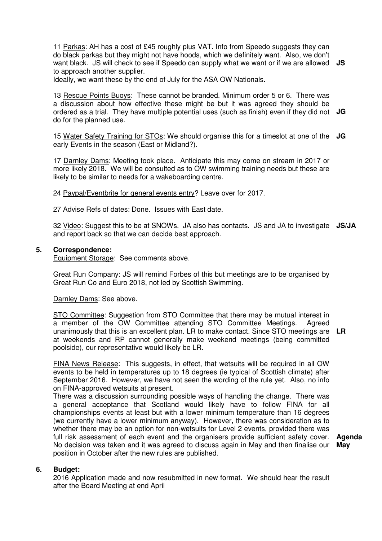11 Parkas: AH has a cost of £45 roughly plus VAT. Info from Speedo suggests they can do black parkas but they might not have hoods, which we definitely want. Also, we don't want black. JS will check to see if Speedo can supply what we want or if we are allowed **JS**  to approach another supplier.

Ideally, we want these by the end of July for the ASA OW Nationals.

13 Rescue Points Buoys: These cannot be branded. Minimum order 5 or 6. There was a discussion about how effective these might be but it was agreed they should be ordered as a trial. They have multiple potential uses (such as finish) even if they did not **JG**  do for the planned use.

15 Water Safety Training for STOs: We should organise this for a timeslot at one of the **JG**  early Events in the season (East or Midland?).

17 Darnley Dams: Meeting took place. Anticipate this may come on stream in 2017 or more likely 2018. We will be consulted as to OW swimming training needs but these are likely to be similar to needs for a wakeboarding centre.

24 Paypal/Eventbrite for general events entry? Leave over for 2017.

27 Advise Refs of dates: Done. Issues with East date.

32 Video: Suggest this to be at SNOWs. JA also has contacts. JS and JA to investigate **JS/JA**  and report back so that we can decide best approach.

## **5. Correspondence:**

Equipment Storage: See comments above.

Great Run Company: JS will remind Forbes of this but meetings are to be organised by Great Run Co and Euro 2018, not led by Scottish Swimming.

Darnley Dams: See above.

STO Committee: Suggestion from STO Committee that there may be mutual interest in a member of the OW Committee attending STO Committee Meetings. Agreed unanimously that this is an excellent plan. LR to make contact. Since STO meetings are at weekends and RP cannot generally make weekend meetings (being committed poolside), our representative would likely be LR. **LR** 

FINA News Release: This suggests, in effect, that wetsuits will be required in all OW events to be held in temperatures up to 18 degrees (ie typical of Scottish climate) after September 2016. However, we have not seen the wording of the rule yet. Also, no info on FINA-approved wetsuits at present.

There was a discussion surrounding possible ways of handling the change. There was a general acceptance that Scotland would likely have to follow FINA for all championships events at least but with a lower minimum temperature than 16 degrees (we currently have a lower minimum anyway). However, there was consideration as to whether there may be an option for non-wetsuits for Level 2 events, provided there was full risk assessment of each event and the organisers provide sufficient safety cover. No decision was taken and it was agreed to discuss again in May and then finalise our position in October after the new rules are published.

**Agenda May** 

#### **6. Budget:**

2016 Application made and now resubmitted in new format. We should hear the result after the Board Meeting at end April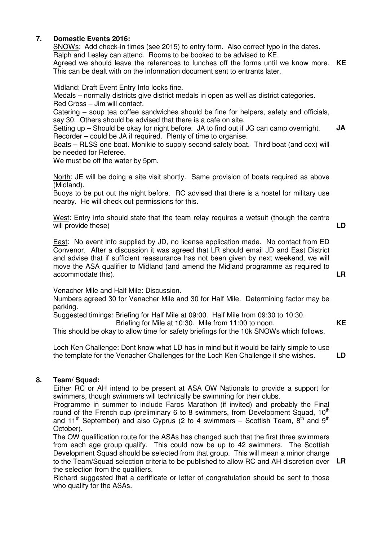#### **7. Domestic Events 2016:**

SNOWs: Add check-in times (see 2015) to entry form. Also correct typo in the dates. Ralph and Lesley can attend. Rooms to be booked to be advised to KE. Agreed we should leave the references to lunches off the forms until we know more. **KE**  This can be dealt with on the information document sent to entrants later.

Midland: Draft Event Entry Info looks fine.

Medals – normally districts give district medals in open as well as district categories. Red Cross – Jim will contact.

Catering – soup tea coffee sandwiches should be fine for helpers, safety and officials, say 30. Others should be advised that there is a cafe on site.

Setting up – Should be okay for night before. JA to find out if JG can camp overnight. Recorder – could be JA if required. Plenty of time to organise. **JA** 

Boats – RLSS one boat. Monikie to supply second safety boat. Third boat (and cox) will be needed for Referee.

We must be off the water by 5pm.

North: JE will be doing a site visit shortly. Same provision of boats required as above (Midland).

Buoys to be put out the night before. RC advised that there is a hostel for military use nearby. He will check out permissions for this.

West: Entry info should state that the team relay requires a wetsuit (though the centre will provide these) **LD** 

East: No event info supplied by JD, no license application made. No contact from ED Convenor. After a discussion it was agreed that LR should email JD and East District and advise that if sufficient reassurance has not been given by next weekend, we will move the ASA qualifier to Midland (and amend the Midland programme as required to accommodate this).

Venacher Mile and Half Mile: Discussion.

Numbers agreed 30 for Venacher Mile and 30 for Half Mile. Determining factor may be parking.

Suggested timings: Briefing for Half Mile at 09:00. Half Mile from 09:30 to 10:30. Briefing for Mile at 10:30. Mile from 11:00 to noon.

This should be okay to allow time for safety briefings for the 10k SNOWs which follows.

Loch Ken Challenge: Dont know what LD has in mind but it would be fairly simple to use the template for the Venacher Challenges for the Loch Ken Challenge if she wishes.

**LD** 

**KE** 

**LR** 

#### **8. Team/ Squad:**

Either RC or AH intend to be present at ASA OW Nationals to provide a support for swimmers, though swimmers will technically be swimming for their clubs.

Programme in summer to include Faros Marathon (if invited) and probably the Final round of the French cup (preliminary 6 to 8 swimmers, from Development Squad,  $10<sup>th</sup>$ and 11<sup>th</sup> September) and also Cyprus (2 to 4 swimmers – Scottish Team,  $8^{th}$  and  $9^{th}$ October).

The OW qualification route for the ASAs has changed such that the first three swimmers from each age group qualify. This could now be up to 42 swimmers. The Scottish Development Squad should be selected from that group. This will mean a minor change to the Team/Squad selection criteria to be published to allow RC and AH discretion over **LR** the selection from the qualifiers.

Richard suggested that a certificate or letter of congratulation should be sent to those who qualify for the ASAs.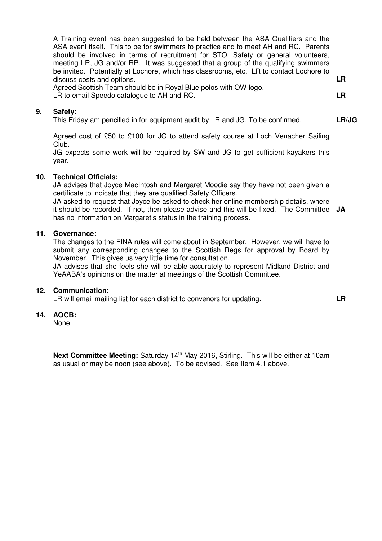A Training event has been suggested to be held between the ASA Qualifiers and the ASA event itself. This to be for swimmers to practice and to meet AH and RC. Parents should be involved in terms of recruitment for STO, Safety or general volunteers, meeting LR, JG and/or RP. It was suggested that a group of the qualifying swimmers be invited. Potentially at Lochore, which has classrooms, etc. LR to contact Lochore to discuss costs and options.

**LR** 

**LR** 

**LR/JG** 

Agreed Scottish Team should be in Royal Blue polos with OW logo. LR to email Speedo catalogue to AH and RC.

#### **9. Safety:**

This Friday am pencilled in for equipment audit by LR and JG. To be confirmed.

Agreed cost of £50 to £100 for JG to attend safety course at Loch Venacher Sailing Club.

JG expects some work will be required by SW and JG to get sufficient kayakers this year.

#### **10. Technical Officials:**

JA advises that Joyce MacIntosh and Margaret Moodie say they have not been given a certificate to indicate that they are qualified Safety Officers.

JA asked to request that Joyce be asked to check her online membership details, where it should be recorded. If not, then please advise and this will be fixed. The Committee **JA**  has no information on Margaret's status in the training process.

#### **11. Governance:**

The changes to the FINA rules will come about in September. However, we will have to submit any corresponding changes to the Scottish Regs for approval by Board by November. This gives us very little time for consultation.

JA advises that she feels she will be able accurately to represent Midland District and YeAABA's opinions on the matter at meetings of the Scottish Committee.

#### **12. Communication:**

LR will email mailing list for each district to convenors for updating.

## **14. AOCB:**

None.

**Next Committee Meeting:** Saturday 14<sup>th</sup> May 2016, Stirling. This will be either at 10am as usual or may be noon (see above). To be advised. See Item 4.1 above.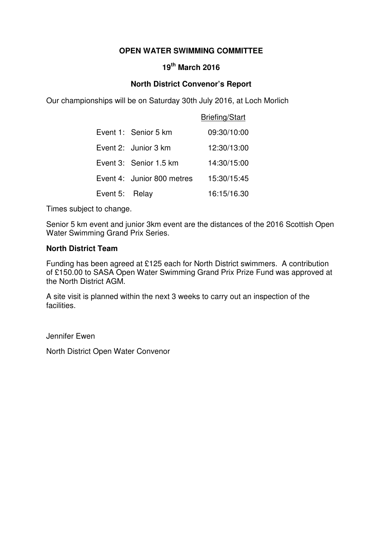# **OPEN WATER SWIMMING COMMITTEE**

# **19th March 2016**

# **North District Convenor's Report**

Our championships will be on Saturday 30th July 2016, at Loch Morlich

|                |                            | <b>Briefing/Start</b> |
|----------------|----------------------------|-----------------------|
|                | Event 1: Senior 5 km       | 09:30/10:00           |
|                | Event 2: Junior 3 km       | 12:30/13:00           |
|                | Event 3: Senior 1.5 km     | 14:30/15:00           |
|                | Event 4: Junior 800 metres | 15:30/15:45           |
| Event 5: Relay |                            | 16:15/16.30           |

Times subject to change.

Senior 5 km event and junior 3km event are the distances of the 2016 Scottish Open Water Swimming Grand Prix Series.

## **North District Team**

Funding has been agreed at £125 each for North District swimmers. A contribution of £150.00 to SASA Open Water Swimming Grand Prix Prize Fund was approved at the North District AGM.

A site visit is planned within the next 3 weeks to carry out an inspection of the facilities.

Jennifer Ewen

North District Open Water Convenor